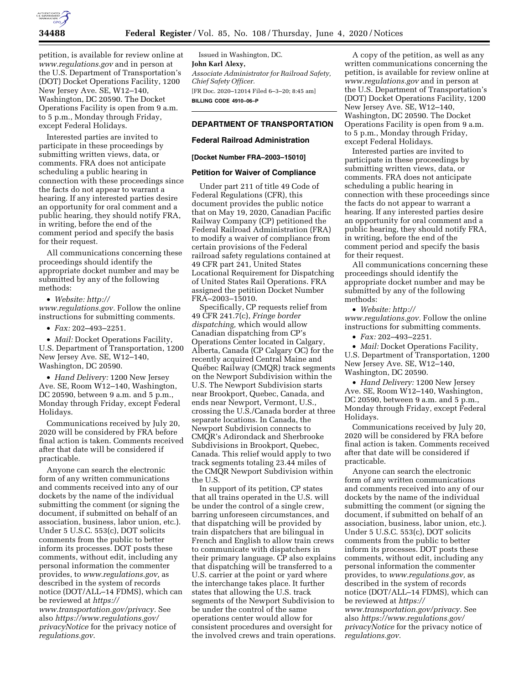

petition, is available for review online at *[www.regulations.gov](http://www.regulations.gov)* and in person at the U.S. Department of Transportation's (DOT) Docket Operations Facility, 1200 New Jersey Ave. SE, W12–140, Washington, DC 20590. The Docket Operations Facility is open from 9 a.m. to 5 p.m., Monday through Friday, except Federal Holidays.

Interested parties are invited to participate in these proceedings by submitting written views, data, or comments. FRA does not anticipate scheduling a public hearing in connection with these proceedings since the facts do not appear to warrant a hearing. If any interested parties desire an opportunity for oral comment and a public hearing, they should notify FRA, in writing, before the end of the comment period and specify the basis for their request.

All communications concerning these proceedings should identify the appropriate docket number and may be submitted by any of the following methods:

• *Website: [http://](http://www.regulations.gov)*

*[www.regulations.gov.](http://www.regulations.gov)* Follow the online instructions for submitting comments.

• *Fax:* 202–493–2251.

• *Mail:* Docket Operations Facility, U.S. Department of Transportation, 1200 New Jersey Ave. SE, W12–140, Washington, DC 20590.

• *Hand Delivery:* 1200 New Jersey Ave. SE, Room W12–140, Washington, DC 20590, between 9 a.m. and 5 p.m., Monday through Friday, except Federal Holidays.

Communications received by July 20, 2020 will be considered by FRA before final action is taken. Comments received after that date will be considered if practicable.

Anyone can search the electronic form of any written communications and comments received into any of our dockets by the name of the individual submitting the comment (or signing the document, if submitted on behalf of an association, business, labor union, etc.). Under 5 U.S.C. 553(c), DOT solicits comments from the public to better inform its processes. DOT posts these comments, without edit, including any personal information the commenter provides, to *[www.regulations.gov,](http://www.regulations.gov)* as described in the system of records notice (DOT/ALL–14 FDMS), which can be reviewed at *[https://](https://www.transportation.gov/privacy) [www.transportation.gov/privacy.](https://www.transportation.gov/privacy)* See also *[https://www.regulations.gov/](https://www.regulations.gov/privacyNotice)  [privacyNotice](https://www.regulations.gov/privacyNotice)* for the privacy notice of *regulations.gov*.

Issued in Washington, DC. **John Karl Alexy,**  *Associate Administrator for Railroad Safety, Chief Safety Officer.*  [FR Doc. 2020–12014 Filed 6–3–20; 8:45 am] **BILLING CODE 4910–06–P** 

# **DEPARTMENT OF TRANSPORTATION**

#### **Federal Railroad Administration**

### **[Docket Number FRA–2003–15010]**

#### **Petition for Waiver of Compliance**

Under part 211 of title 49 Code of Federal Regulations (CFR), this document provides the public notice that on May 19, 2020, Canadian Pacific Railway Company (CP) petitioned the Federal Railroad Administration (FRA) to modify a waiver of compliance from certain provisions of the Federal railroad safety regulations contained at 49 CFR part 241, United States Locational Requirement for Dispatching of United States Rail Operations. FRA assigned the petition Docket Number FRA–2003–15010.

Specifically, CP requests relief from 49 CFR 241.7(c), *Fringe border dispatching,* which would allow Canadian dispatching from CP's Operations Center located in Calgary, Alberta, Canada (CP Calgary OC) for the recently acquired Central Maine and Québec Railway (CMQR) track segments on the Newport Subdivision within the U.S. The Newport Subdivision starts near Brookport, Quebec, Canada, and ends near Newport, Vermont, U.S., crossing the U.S./Canada border at three separate locations. In Canada, the Newport Subdivision connects to CMQR's Adirondack and Sherbrooke Subdivisions in Brookport, Quebec, Canada. This relief would apply to two track segments totaling 23.44 miles of the CMQR Newport Subdivision within the U.S.

In support of its petition, CP states that all trains operated in the U.S. will be under the control of a single crew, barring unforeseen circumstances, and that dispatching will be provided by train dispatchers that are bilingual in French and English to allow train crews to communicate with dispatchers in their primary language. CP also explains that dispatching will be transferred to a U.S. carrier at the point or yard where the interchange takes place. It further states that allowing the U.S. track segments of the Newport Subdivision to be under the control of the same operations center would allow for consistent procedures and oversight for the involved crews and train operations.

A copy of the petition, as well as any written communications concerning the petition, is available for review online at *[www.regulations.gov](http://www.regulations.gov)* and in person at the U.S. Department of Transportation's (DOT) Docket Operations Facility, 1200 New Jersey Ave. SE, W12–140, Washington, DC 20590. The Docket Operations Facility is open from 9 a.m. to 5 p.m., Monday through Friday, except Federal Holidays.

Interested parties are invited to participate in these proceedings by submitting written views, data, or comments. FRA does not anticipate scheduling a public hearing in connection with these proceedings since the facts do not appear to warrant a hearing. If any interested parties desire an opportunity for oral comment and a public hearing, they should notify FRA, in writing, before the end of the comment period and specify the basis for their request.

All communications concerning these proceedings should identify the appropriate docket number and may be submitted by any of the following methods:

• *Website: [http://](http://www.regulations.gov) [www.regulations.gov.](http://www.regulations.gov)* Follow the online instructions for submitting comments.

• *Fax:* 202–493–2251.

• *Mail:* Docket Operations Facility, U.S. Department of Transportation, 1200 New Jersey Ave. SE, W12–140, Washington, DC 20590.

• *Hand Delivery:* 1200 New Jersey Ave. SE, Room W12–140, Washington, DC 20590, between 9 a.m. and 5 p.m., Monday through Friday, except Federal Holidays.

Communications received by July 20, 2020 will be considered by FRA before final action is taken. Comments received after that date will be considered if practicable.

Anyone can search the electronic form of any written communications and comments received into any of our dockets by the name of the individual submitting the comment (or signing the document, if submitted on behalf of an association, business, labor union, etc.). Under 5 U.S.C. 553(c), DOT solicits comments from the public to better inform its processes. DOT posts these comments, without edit, including any personal information the commenter provides, to *[www.regulations.gov,](http://www.regulations.gov)* as described in the system of records notice (DOT/ALL–14 FDMS), which can be reviewed at *[https://](https://www.transportation.gov/privacy) [www.transportation.gov/privacy.](https://www.transportation.gov/privacy)* See also *[https://www.regulations.gov/](https://www.regulations.gov/privacyNotice)  [privacyNotice](https://www.regulations.gov/privacyNotice)* for the privacy notice of *regulations.gov.*